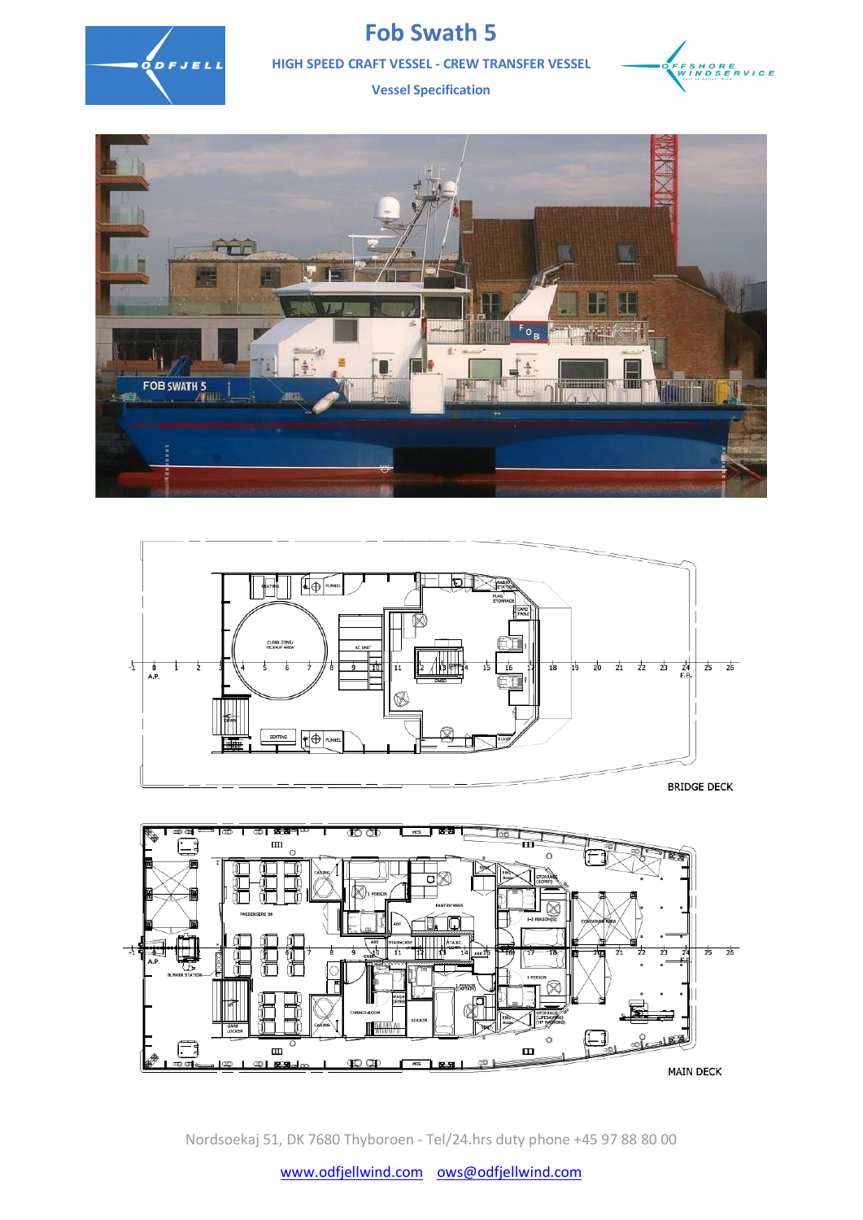

## **Fob Swath 5**

**HIGH SPEED CRAFT VESSEL - CREW TRANSFER VESSEL**



**Vessel Specification** 





彐  $\blacksquare$  $\mathsf{C}$ ᅷ  $\circ$ ♬  $\blacksquare$  $\blacksquare$  $000$ αŌ  $HES$   $HSE$   $H$ **MAIN DECK** 

Nordsoekaj 51, DK 7680 Thyboroen - Tel/24.hrs duty phone +45 97 88 80 00